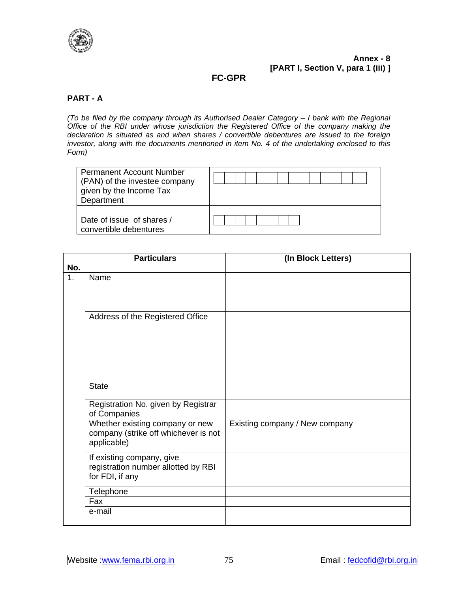

# **FC-GPR**

# **PART - A**

*(To be filed by the company through its Authorised Dealer Category – I bank with the Regional Office of the RBI under whose jurisdiction the Registered Office of the company making the declaration is situated as and when shares / convertible debentures are issued to the foreign investor, along with the documents mentioned in item No. 4 of the undertaking enclosed to this Form)*

| <b>Permanent Account Number</b><br>(PAN) of the investee company<br>given by the Income Tax<br>Department |  |
|-----------------------------------------------------------------------------------------------------------|--|
|                                                                                                           |  |
| Date of issue of shares /<br>convertible debentures                                                       |  |

| No. | <b>Particulars</b>                                                                     | (In Block Letters)             |
|-----|----------------------------------------------------------------------------------------|--------------------------------|
| 1.  | Name                                                                                   |                                |
|     | Address of the Registered Office                                                       |                                |
|     | <b>State</b>                                                                           |                                |
|     | Registration No. given by Registrar<br>of Companies                                    |                                |
|     | Whether existing company or new<br>company (strike off whichever is not<br>applicable) | Existing company / New company |
|     | If existing company, give<br>registration number allotted by RBI<br>for FDI, if any    |                                |
|     | Telephone                                                                              |                                |
|     | Fax                                                                                    |                                |
|     | e-mail                                                                                 |                                |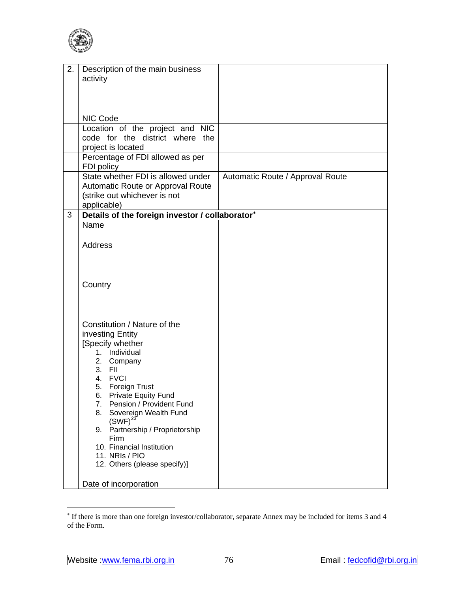<span id="page-1-0"></span>

| 2. | Description of the main business                      |                                  |
|----|-------------------------------------------------------|----------------------------------|
|    | activity                                              |                                  |
|    |                                                       |                                  |
|    |                                                       |                                  |
|    |                                                       |                                  |
|    |                                                       |                                  |
|    | NIC Code                                              |                                  |
|    | Location of the project and NIC                       |                                  |
|    | code for the district where the                       |                                  |
|    | project is located                                    |                                  |
|    | Percentage of FDI allowed as per                      |                                  |
|    | FDI policy                                            |                                  |
|    | State whether FDI is allowed under                    | Automatic Route / Approval Route |
|    | Automatic Route or Approval Route                     |                                  |
|    | (strike out whichever is not                          |                                  |
|    | applicable)                                           |                                  |
| 3  | Details of the foreign investor / collaborator*       |                                  |
|    | Name                                                  |                                  |
|    |                                                       |                                  |
|    | <b>Address</b>                                        |                                  |
|    |                                                       |                                  |
|    |                                                       |                                  |
|    |                                                       |                                  |
|    | Country                                               |                                  |
|    |                                                       |                                  |
|    |                                                       |                                  |
|    |                                                       |                                  |
|    |                                                       |                                  |
|    | Constitution / Nature of the                          |                                  |
|    | investing Entity                                      |                                  |
|    | [Specify whether                                      |                                  |
|    | 1. Individual                                         |                                  |
|    | 2. Company                                            |                                  |
|    | 3. FII                                                |                                  |
|    | 4. FVCI                                               |                                  |
|    | 5. Foreign Trust                                      |                                  |
|    | 6. Private Equity Fund<br>7. Pension / Provident Fund |                                  |
|    | Sovereign Wealth Fund<br>8.                           |                                  |
|    | $(SWF)^{23}$                                          |                                  |
|    | Partnership / Proprietorship<br>9.                    |                                  |
|    | <b>Firm</b>                                           |                                  |
|    | 10. Financial Institution                             |                                  |
|    | 11. NRIs / PIO                                        |                                  |
|    | 12. Others (please specify)]                          |                                  |
|    |                                                       |                                  |
|    | Date of incorporation                                 |                                  |

 ∗ If there is more than one foreign investor/collaborator, separate Annex may be included for items 3 and 4 of the Form.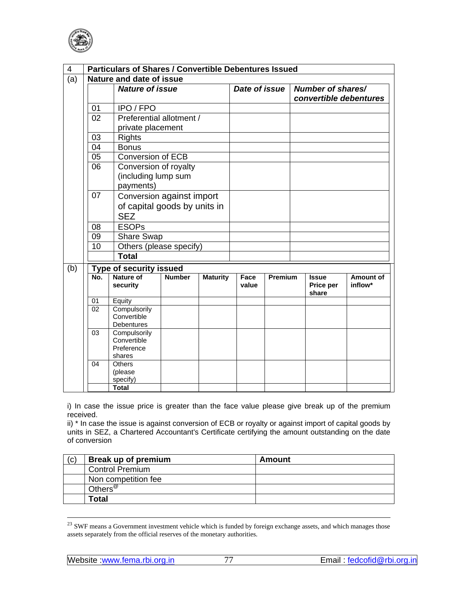

| 4   |     | <b>Particulars of Shares / Convertible Debentures Issued</b> |               |                 |               |                |                    |                        |
|-----|-----|--------------------------------------------------------------|---------------|-----------------|---------------|----------------|--------------------|------------------------|
| (a) |     | Nature and date of issue                                     |               |                 |               |                |                    |                        |
|     |     | <b>Nature of issue</b>                                       |               |                 | Date of issue |                | Number of shares/  |                        |
|     |     |                                                              |               |                 |               |                |                    | convertible debentures |
|     | 01  | IPO / FPO                                                    |               |                 |               |                |                    |                        |
|     | 02  | Preferential allotment /                                     |               |                 |               |                |                    |                        |
|     |     | private placement                                            |               |                 |               |                |                    |                        |
|     | 03  | <b>Rights</b>                                                |               |                 |               |                |                    |                        |
|     | 04  | <b>Bonus</b>                                                 |               |                 |               |                |                    |                        |
|     | 05  | <b>Conversion of ECB</b>                                     |               |                 |               |                |                    |                        |
|     | 06  | Conversion of royalty                                        |               |                 |               |                |                    |                        |
|     |     | (including lump sum                                          |               |                 |               |                |                    |                        |
|     |     | payments)                                                    |               |                 |               |                |                    |                        |
|     | 07  | Conversion against import                                    |               |                 |               |                |                    |                        |
|     |     | of capital goods by units in                                 |               |                 |               |                |                    |                        |
|     |     | <b>SEZ</b>                                                   |               |                 |               |                |                    |                        |
|     | 08  | <b>ESOPs</b>                                                 |               |                 |               |                |                    |                        |
|     | 09  | <b>Share Swap</b>                                            |               |                 |               |                |                    |                        |
|     | 10  | Others (please specify)                                      |               |                 |               |                |                    |                        |
|     |     | <b>Total</b>                                                 |               |                 |               |                |                    |                        |
| (b) |     | Type of security issued                                      |               |                 |               |                |                    |                        |
|     | No. | <b>Nature of</b>                                             | <b>Number</b> | <b>Maturity</b> | Face          | <b>Premium</b> | <b>Issue</b>       | Amount of              |
|     |     | security                                                     |               |                 | value         |                | Price per<br>share | inflow*                |
|     | 01  | Equity                                                       |               |                 |               |                |                    |                        |
|     | 02  | Compulsorily                                                 |               |                 |               |                |                    |                        |
|     |     | Convertible                                                  |               |                 |               |                |                    |                        |
|     | 03  | Debentures                                                   |               |                 |               |                |                    |                        |
|     |     | Compulsorily<br>Convertible                                  |               |                 |               |                |                    |                        |
|     |     | Preference                                                   |               |                 |               |                |                    |                        |
|     |     | shares                                                       |               |                 |               |                |                    |                        |
|     | 04  | Others                                                       |               |                 |               |                |                    |                        |
|     |     | (please<br>specify)                                          |               |                 |               |                |                    |                        |
|     |     | <b>Total</b>                                                 |               |                 |               |                |                    |                        |

i) In case the issue price is greater than the face value please give break up of the premium received.

ii) \* In case the issue is against conversion of ECB or royalty or against import of capital goods by units in SEZ, a Chartered Accountant's Certificate certifying the amount outstanding on the date of conversion

| (C) | Break up of premium | Amount |
|-----|---------------------|--------|
|     | Control Premium     |        |
|     | Non competition fee |        |
|     | Others <sup>@</sup> |        |
|     | Total               |        |

<sup>&</sup>lt;sup>23</sup> SWF means a Government investment vehicle which is funded by foreign exchange assets, and which manages those assets separately from the official reserves of the monetary authorities.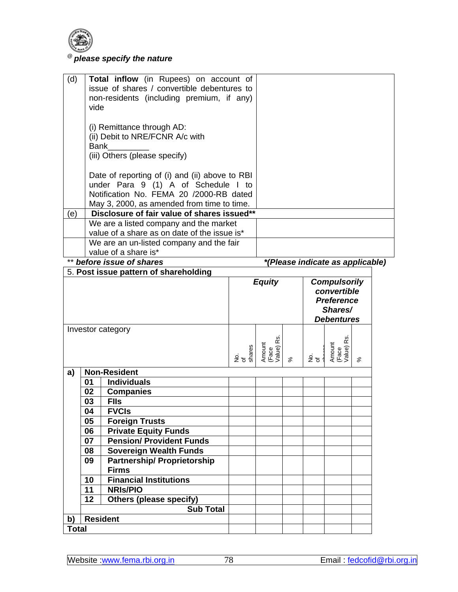

# @ *please specify the nature*

| (d) |             | Total inflow (in Rupees) on account of                                                    |                     |                              |           |       |                                  |          |  |
|-----|-------------|-------------------------------------------------------------------------------------------|---------------------|------------------------------|-----------|-------|----------------------------------|----------|--|
|     |             | issue of shares / convertible debentures to                                               |                     |                              |           |       |                                  |          |  |
|     |             | non-residents (including premium, if any)                                                 |                     |                              |           |       |                                  |          |  |
|     | vide        |                                                                                           |                     |                              |           |       |                                  |          |  |
|     |             | (i) Remittance through AD:                                                                |                     |                              |           |       |                                  |          |  |
|     |             | (ii) Debit to NRE/FCNR A/c with                                                           |                     |                              |           |       |                                  |          |  |
|     | <b>Bank</b> |                                                                                           |                     |                              |           |       |                                  |          |  |
|     |             | (iii) Others (please specify)                                                             |                     |                              |           |       |                                  |          |  |
|     |             |                                                                                           |                     |                              |           |       |                                  |          |  |
|     |             | Date of reporting of (i) and (ii) above to RBI                                            |                     |                              |           |       |                                  |          |  |
|     |             | under Para 9 (1) A of Schedule I to                                                       |                     |                              |           |       |                                  |          |  |
|     |             | Notification No. FEMA 20 /2000-RB dated                                                   |                     |                              |           |       |                                  |          |  |
| (e) |             | May 3, 2000, as amended from time to time.<br>Disclosure of fair value of shares issued** |                     |                              |           |       |                                  |          |  |
|     |             | We are a listed company and the market                                                    |                     |                              |           |       |                                  |          |  |
|     |             | value of a share as on date of the issue is*                                              |                     |                              |           |       |                                  |          |  |
|     |             | We are an un-listed company and the fair                                                  |                     |                              |           |       |                                  |          |  |
|     |             | value of a share is*                                                                      |                     |                              |           |       |                                  |          |  |
|     |             | before issue of shares                                                                    |                     |                              |           |       | *(Please indicate as applicable) |          |  |
|     |             | 5. Post issue pattern of shareholding                                                     |                     |                              |           |       |                                  |          |  |
|     |             |                                                                                           |                     | <b>Equity</b>                |           |       | <b>Compulsorily</b>              |          |  |
|     |             |                                                                                           |                     |                              |           |       | convertible                      |          |  |
|     |             |                                                                                           |                     |                              |           |       | <b>Preference</b>                |          |  |
|     |             |                                                                                           |                     |                              |           |       |                                  |          |  |
|     |             |                                                                                           |                     |                              |           |       | Shares/                          |          |  |
|     |             |                                                                                           |                     |                              |           |       | <b>Debentures</b>                |          |  |
|     |             | Investor category                                                                         |                     |                              |           |       |                                  |          |  |
|     |             |                                                                                           |                     |                              |           |       |                                  |          |  |
|     |             |                                                                                           | No.<br>of<br>shares | Amount<br>(Face<br>Value) Rs | $\approx$ | टें ह | (Face<br>Value) Rs.<br>Amount    | $\aleph$ |  |
|     |             |                                                                                           |                     |                              |           |       |                                  |          |  |
| a)  | 01          | <b>Non-Resident</b><br><b>Individuals</b>                                                 |                     |                              |           |       |                                  |          |  |
|     | 02          | <b>Companies</b>                                                                          |                     |                              |           |       |                                  |          |  |
|     | 03          | <b>FIIs</b>                                                                               |                     |                              |           |       |                                  |          |  |
|     | 04          | <b>FVCIs</b>                                                                              |                     |                              |           |       |                                  |          |  |
|     | 05          | <b>Foreign Trusts</b>                                                                     |                     |                              |           |       |                                  |          |  |
|     | 06          | <b>Private Equity Funds</b>                                                               |                     |                              |           |       |                                  |          |  |
|     | 07          | <b>Pension/ Provident Funds</b>                                                           |                     |                              |           |       |                                  |          |  |
|     | 08          | <b>Sovereign Wealth Funds</b>                                                             |                     |                              |           |       |                                  |          |  |
|     | 09          | <b>Partnership/ Proprietorship</b>                                                        |                     |                              |           |       |                                  |          |  |
|     |             | <b>Firms</b>                                                                              |                     |                              |           |       |                                  |          |  |
|     | 10          | <b>Financial Institutions</b>                                                             |                     |                              |           |       |                                  |          |  |
|     | 11          | <b>NRIS/PIO</b>                                                                           |                     |                              |           |       |                                  |          |  |
|     | 12          | <b>Others (please specify)</b><br><b>Sub Total</b>                                        |                     |                              |           |       |                                  |          |  |
| b)  |             | <b>Resident</b>                                                                           |                     |                              |           |       |                                  |          |  |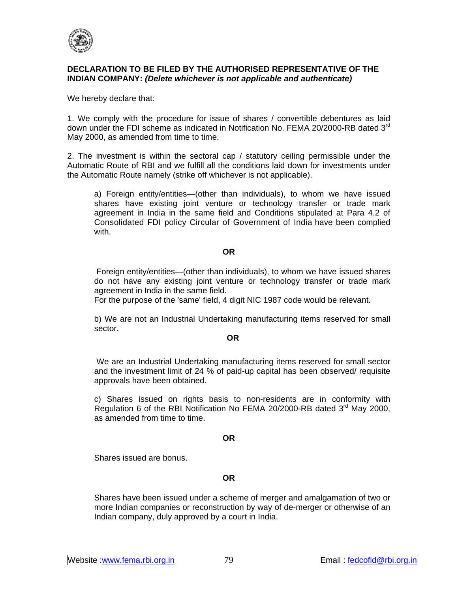

## **DECLARATION TO BE FILED BY THE AUTHORISED REPRESENTATIVE OF THE INDIAN COMPANY:** *(Delete whichever is not applicable and authenticate)*

We hereby declare that:

1. We comply with the procedure for issue of shares / convertible debentures as laid down under the FDI scheme as indicated in Notification No. FEMA 20/2000-RB dated 3<sup>rd</sup> May 2000, as amended from time to time.

2. The investment is within the sectoral cap / statutory ceiling permissible under the Automatic Route of RBI and we fulfill all the conditions laid down for investments under the Automatic Route namely (strike off whichever is not applicable).

a) Foreign entity/entities—(other than individuals), to whom we have issued shares have existing joint venture or technology transfer or trade mark agreement in India in the same field and Conditions stipulated at Para 4.2 of Consolidated FDI policy Circular of Government of India have been complied with.

### **OR**

 Foreign entity/entities—(other than individuals), to whom we have issued shares do not have any existing joint venture or technology transfer or trade mark agreement in India in the same field.

For the purpose of the 'same' field, 4 digit NIC 1987 code would be relevant.

b) We are not an Industrial Undertaking manufacturing items reserved for small sector.

#### **OR OR**

 We are an Industrial Undertaking manufacturing items reserved for small sector and the investment limit of 24 % of paid-up capital has been observed/ requisite approvals have been obtained.

c) Shares issued on rights basis to non-residents are in conformity with Regulation 6 of the RBI Notification No FEMA 20/2000-RB dated  $3<sup>rd</sup>$  May 2000, as amended from time to time.

#### **OR**

Shares issued are bonus.

#### **OR**

Shares have been issued under a scheme of merger and amalgamation of two or more Indian companies or reconstruction by way of de-merger or otherwise of an Indian company, duly approved by a court in India.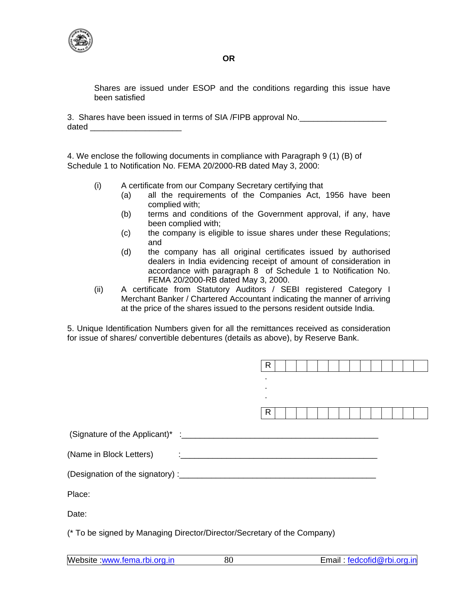

Shares are issued under ESOP and the conditions regarding this issue have been satisfied

3. Shares have been issued in terms of SIA /FIPB approval No. dated  $\Box$ 

4. We enclose the following documents in compliance with Paragraph 9 (1) (B) of Schedule 1 to Notification No. FEMA 20/2000-RB dated May 3, 2000:

- (i) A certificate from our Company Secretary certifying that
	- (a) all the requirements of the Companies Act, 1956 have been complied with;
	- (b) terms and conditions of the Government approval, if any, have been complied with;
	- (c) the company is eligible to issue shares under these Regulations; and
	- (d) the company has all original certificates issued by authorised dealers in India evidencing receipt of amount of consideration in accordance with paragraph 8 of Schedule 1 to Notification No. FEMA 20/2000-RB dated May 3, 2000.
- (ii) A certificate from Statutory Auditors / SEBI registered Category I Merchant Banker / Chartered Accountant indicating the manner of arriving at the price of the shares issued to the persons resident outside India.

5. Unique Identification Numbers given for all the remittances received as consideration for issue of shares/ convertible debentures (details as above), by Reserve Bank.

|                         | R |  |  |  |  |  |  |
|-------------------------|---|--|--|--|--|--|--|
|                         |   |  |  |  |  |  |  |
|                         | R |  |  |  |  |  |  |
|                         |   |  |  |  |  |  |  |
| (Name in Block Letters) |   |  |  |  |  |  |  |
|                         |   |  |  |  |  |  |  |
| Place:                  |   |  |  |  |  |  |  |
| Date:                   |   |  |  |  |  |  |  |

(\* To be signed by Managing Director/Director/Secretary of the Company)